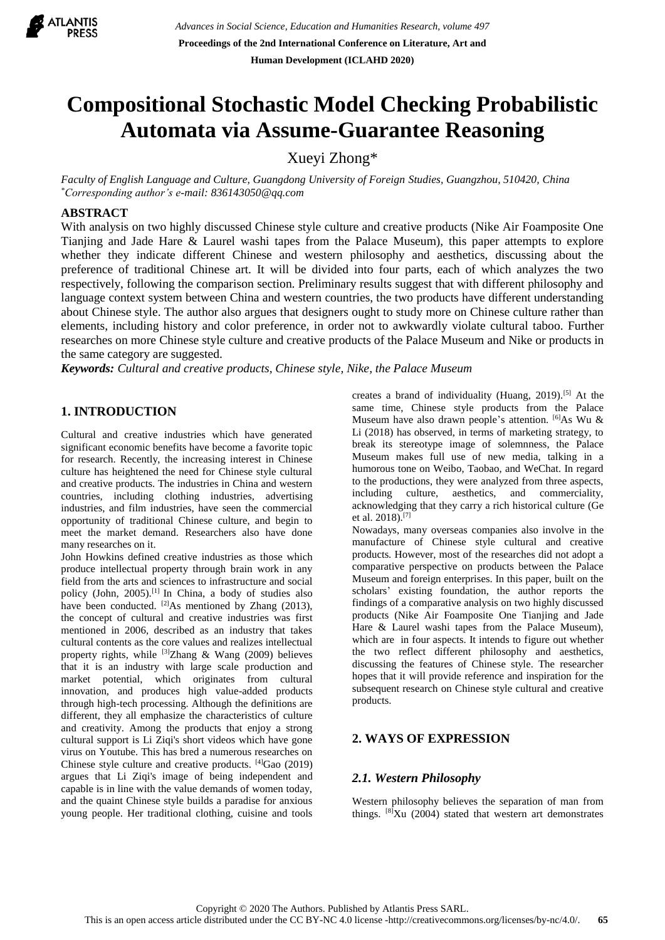

# **Compositional Stochastic Model Checking Probabilistic Automata via Assume-Guarantee Reasoning**

Xueyi Zhong\*

*Faculty of English Language and Culture, Guangdong University of Foreign Studies, Guangzhou, 510420, China \*Corresponding author's e-mail: 836143050@qq.com*

## **ABSTRACT**

With analysis on two highly discussed Chinese style culture and creative products (Nike Air Foamposite One Tianjing and Jade Hare & Laurel washi tapes from the Palace Museum), this paper attempts to explore whether they indicate different Chinese and western philosophy and aesthetics, discussing about the preference of traditional Chinese art. It will be divided into four parts, each of which analyzes the two respectively, following the comparison section. Preliminary results suggest that with different philosophy and language context system between China and western countries, the two products have different understanding about Chinese style. The author also argues that designers ought to study more on Chinese culture rather than elements, including history and color preference, in order not to awkwardly violate cultural taboo. Further researches on more Chinese style culture and creative products of the Palace Museum and Nike or products in the same category are suggested.

*Keywords: Cultural and creative products, Chinese style, Nike, the Palace Museum*

# **1. INTRODUCTION**

Cultural and creative industries which have generated significant economic benefits have become a favorite topic for research. Recently, the increasing interest in Chinese culture has heightened the need for Chinese style cultural and creative products. The industries in China and western countries, including clothing industries, advertising industries, and film industries, have seen the commercial opportunity of traditional Chinese culture, and begin to meet the market demand. Researchers also have done many researches on it.

John Howkins defined creative industries as those which produce intellectual property through brain work in any field from the arts and sciences to infrastructure and social policy (John, 2005).[1] In China, a body of studies also have been conducted. <sup>[2]</sup>As mentioned by Zhang (2013), the concept of cultural and creative industries was first mentioned in 2006, described as an industry that takes cultural contents as the core values and realizes intellectual property rights, while  $^{[3]}Z$ hang & Wang (2009) believes that it is an industry with large scale production and market potential, which originates from cultural innovation, and produces high value-added products through high-tech processing. Although the definitions are different, they all emphasize the characteristics of culture and creativity. Among the products that enjoy a strong cultural support is Li Ziqi's short videos which have gone virus on Youtube. This has bred a numerous researches on Chinese style culture and creative products. [4]Gao (2019) argues that Li Ziqi's image of being independent and capable is in line with the value demands of women today, and the quaint Chinese style builds a paradise for anxious young people. Her traditional clothing, cuisine and tools

creates a brand of individuality (Huang, 2019).[5] At the same time, Chinese style products from the Palace Museum have also drawn people's attention. [6] As Wu & Li (2018) has observed, in terms of marketing strategy, to break its stereotype image of solemnness, the Palace Museum makes full use of new media, talking in a humorous tone on Weibo, Taobao, and WeChat. In regard to the productions, they were analyzed from three aspects, including culture, aesthetics, and commerciality, acknowledging that they carry a rich historical culture (Ge et al. 2018).[7]

Nowadays, many overseas companies also involve in the manufacture of Chinese style cultural and creative products. However, most of the researches did not adopt a comparative perspective on products between the Palace Museum and foreign enterprises. In this paper, built on the scholars' existing foundation, the author reports the findings of a comparative analysis on two highly discussed products (Nike Air Foamposite One Tianjing and Jade Hare & Laurel washi tapes from the Palace Museum), which are in four aspects. It intends to figure out whether the two reflect different philosophy and aesthetics, discussing the features of Chinese style. The researcher hopes that it will provide reference and inspiration for the subsequent research on Chinese style cultural and creative products.

## **2. WAYS OF EXPRESSION**

## *2.1. Western Philosophy*

Western philosophy believes the separation of man from things.  $^{[8]}$ Xu (2004) stated that western art demonstrates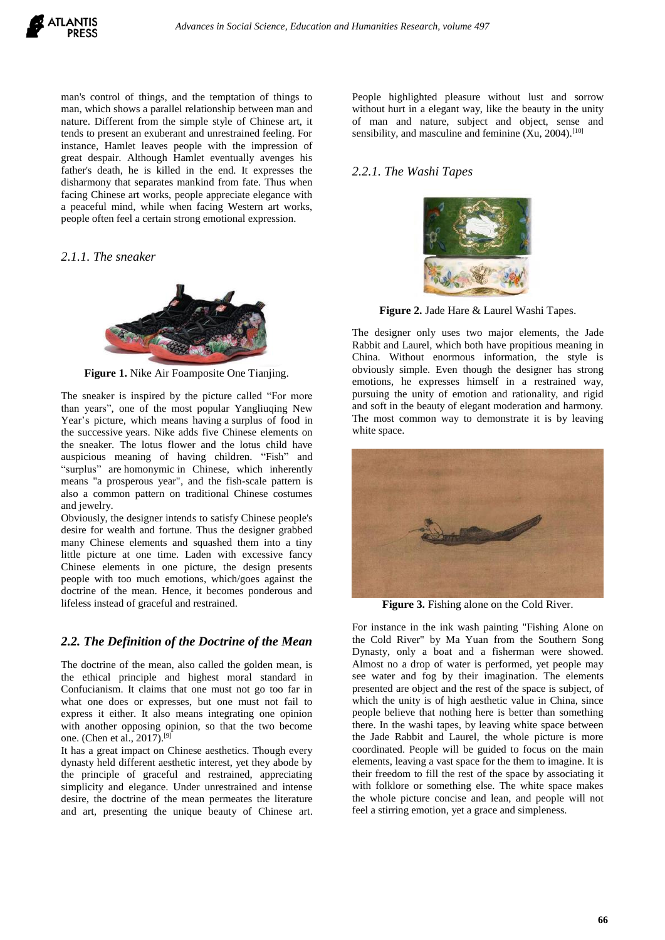

man's control of things, and the temptation of things to man, which shows a parallel relationship between man and nature. Different from the simple style of Chinese art, it tends to present an exuberant and unrestrained feeling. For instance, Hamlet leaves people with the impression of great despair. Although Hamlet eventually avenges his father's death, he is killed in the end. It expresses the disharmony that separates mankind from fate. Thus when facing Chinese art works, people appreciate elegance with a peaceful mind, while when facing Western art works, people often feel a certain strong emotional expression.

#### *2.1.1. The sneaker*



**Figure 1.** Nike Air Foamposite One Tianjing.

The sneaker is inspired by the picture called "For more than years", one of the most popular Yangliuqing New Year's picture, which means having a surplus of food in the successive years. Nike adds five Chinese elements on the sneaker. The lotus flower and the lotus child have auspicious meaning of having children. "Fish" and "surplus" are homonymic in Chinese, which inherently means "a prosperous year", and the fish-scale pattern is also a common pattern on traditional Chinese costumes and jewelry.

Obviously, the designer intends to satisfy Chinese people's desire for wealth and fortune. Thus the designer grabbed many Chinese elements and squashed them into a tiny little picture at one time. Laden with excessive fancy Chinese elements in one picture, the design presents people with too much emotions, which/goes against the doctrine of the mean. Hence, it becomes ponderous and lifeless instead of graceful and restrained.

## *2.2. The Definition of the [Doctrine of the Mean](http://www.baidu.com/link?url=Mzb6IcKawM6HPCFJgZh32aNMMruiOw2oQfEf_Kj0ZaWKQCM5ZRkQNbvF3yhc4aVKe4l7gvWXIowHrENVGclBSK)*

The [doctrine of the mean,](http://www.baidu.com/link?url=Mzb6IcKawM6HPCFJgZh32aNMMruiOw2oQfEf_Kj0ZaWKQCM5ZRkQNbvF3yhc4aVKe4l7gvWXIowHrENVGclBSK) also called the golden mean, is the ethical principle and highest moral standard in Confucianism. It claims that one must not go too far in what one does or expresses, but one must not fail to express it either. It also means integrating one opinion with another opposing opinion, so that the two become one. (Chen et al., 2017). [9]

It has a great impact on Chinese aesthetics. Though every dynasty held different aesthetic interest, yet they abode by the principle of graceful and restrained, appreciating simplicity and elegance. Under unrestrained and intense desire, [t](http://www.baidu.com/link?url=Mzb6IcKawM6HPCFJgZh32aNMMruiOw2oQfEf_Kj0ZaWKQCM5ZRkQNbvF3yhc4aVKe4l7gvWXIowHrENVGclBSK)he doctrine of the mean permeates the literature and art, presenting the unique beauty of Chinese art. People highlighted pleasure without lust and sorrow without hurt in a elegant way, like the beauty in the unity of man and nature, subject and object, sense and sensibility, and masculine and feminine  $(Xu, 2004)$ .<sup>[10]</sup>

#### *2.2.1. The Washi Tapes*



**Figure 2.** Jade Hare & Laurel Washi Tapes.

The designer only uses two major elements, the Jade Rabbit and Laurel, which both have propitious meaning in China. Without enormous information, the style is obviously simple. Even though the designer has strong emotions, he expresses himself in a restrained way, pursuing the unity of emotion and rationality, and rigid and soft in the beauty of elegant moderation and harmony. The most common way to demonstrate it is by leaving white space.



**Figure 3.** Fishing alone on the Cold River.

For instance in the ink wash painting "Fishing Alone on the Cold River" by Ma Yuan from the Southern Song Dynasty, only a boat and a fisherman were showed. Almost no a drop of water is performed, yet people may see water and fog by their imagination. The elements presented are object and the rest of the space is subject, of which the unity is of high aesthetic value in China, since people believe that nothing here is better than something there. In the washi tapes, by leaving white space between the Jade Rabbit and Laurel, the whole picture is more coordinated. People will be guided to focus on the main elements, leaving a vast space for the them to imagine. It is their freedom to fill the rest of the space by associating it with folklore or something else. The white space makes the whole picture concise and lean, and people will not feel a stirring emotion, yet a grace and simpleness.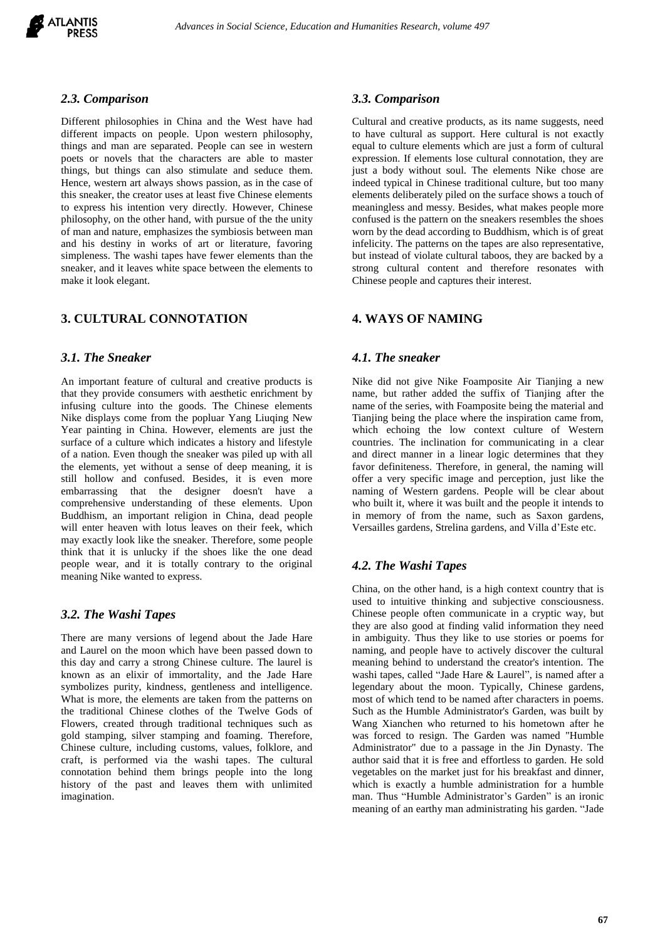

## *2.3. Comparison*

Different philosophies in China and the West have had different impacts on people. Upon western philosophy, things and man are separated. People can see in western poets or novels that the characters are able to master things, but things can also stimulate and seduce them. Hence, western art always shows passion, as in the case of this sneaker, the creator uses at least five Chinese elements to express his intention very directly. However, Chinese philosophy, on the other hand, with pursue of the the unity of man and nature, emphasizes the symbiosis between man and his destiny in works of art or literature, favoring simpleness. The washi tapes have fewer elements than the sneaker, and it leaves white space between the elements to make it look elegant.

## **3. CULTURAL CONNOTATION**

## *3.1. The Sneaker*

An important feature of cultural and creative products is that they provide consumers with aesthetic enrichment by infusing culture into the goods. The Chinese elements Nike displays come from the popluar Yang Liuqing New Year painting in China. However, elements are just the surface of a culture which indicates a history and lifestyle of a nation. Even though the sneaker was piled up with all the elements, yet without a sense of deep meaning, it is still hollow and confused. Besides, it is even more embarrassing that the designer doesn't have a comprehensive understanding of these elements. Upon Buddhism, an important religion in China, dead people will enter heaven with lotus leaves on their feek, which may exactly look like the sneaker. Therefore, some people think that it is unlucky if the shoes like the one dead people wear, and it is totally contrary to the original meaning Nike wanted to express.

## *3.2. The Washi Tapes*

There are many versions of legend about the Jade Hare and Laurel on the moon which have been passed down to this day and carry a strong Chinese culture. The laurel is known as an elixir of immortality, and the Jade Hare symbolizes purity, kindness, gentleness and intelligence. What is more, the elements are taken from the patterns on the traditional Chinese clothes of the Twelve Gods of Flowers, created through traditional techniques such as gold stamping, silver stamping and foaming. Therefore, Chinese culture, including customs, values, folklore, and craft, is performed via the washi tapes. The cultural connotation behind them brings people into the long history of the past and leaves them with unlimited imagination.

#### *3.3. Comparison*

Cultural and creative products, as its name suggests, need to have cultural as support. Here cultural is not exactly equal to culture elements which are just a form of cultural expression. If elements lose cultural connotation, they are just a body without soul. The elements Nike chose are indeed typical in Chinese traditional culture, but too many elements deliberately piled on the surface shows a touch of meaningless and messy. Besides, what makes people more confused is the pattern on the sneakers resembles the shoes worn by the dead according to Buddhism, which is of great infelicity. The patterns on the tapes are also representative, but instead of violate cultural taboos, they are backed by a strong cultural content and therefore resonates with Chinese people and captures their interest.

## **4. WAYS OF NAMING**

## *4.1. The sneaker*

Nike did not give Nike Foamposite Air Tianjing a new name, but rather added the suffix of Tianjing after the name of the series, with Foamposite being the material and Tianjing being the place where the inspiration came from, which echoing the low context culture of Western countries. The inclination for communicating in a clear and direct manner in a linear logic determines that they favor definiteness. Therefore, in general, the naming will offer a very specific image and perception, just like the naming of Western gardens. People will be clear about who built it, where it was built and the people it intends to in memory of from the name, such as Saxon gardens, Versailles gardens, Strelina gardens, and Villa d'Este etc.

## *4.2. The Washi Tapes*

China, on the other hand, is a high context country that is used to intuitive thinking and subjective consciousness. Chinese people often communicate in a cryptic way, but they are also good at finding valid information they need in ambiguity. Thus they like to use stories or poems for naming, and people have to actively discover the cultural meaning behind to understand the creator's intention. The washi tapes, called "Jade Hare & Laurel", is named after a legendary about the moon. Typically, Chinese gardens, most of which tend to be named after characters in poems. Such as the Humble Administrator's Garden, was built by Wang Xianchen who returned to his hometown after he was forced to resign. The Garden was named "Humble Administrator" due to a passage in the Jin Dynasty. The author said that it is free and effortless to garden. He sold vegetables on the market just for his breakfast and dinner, which is exactly a humble administration for a humble man. Thus "Humble Administrator's Garden" is an ironic meaning of an earthy man administrating his garden. "Jade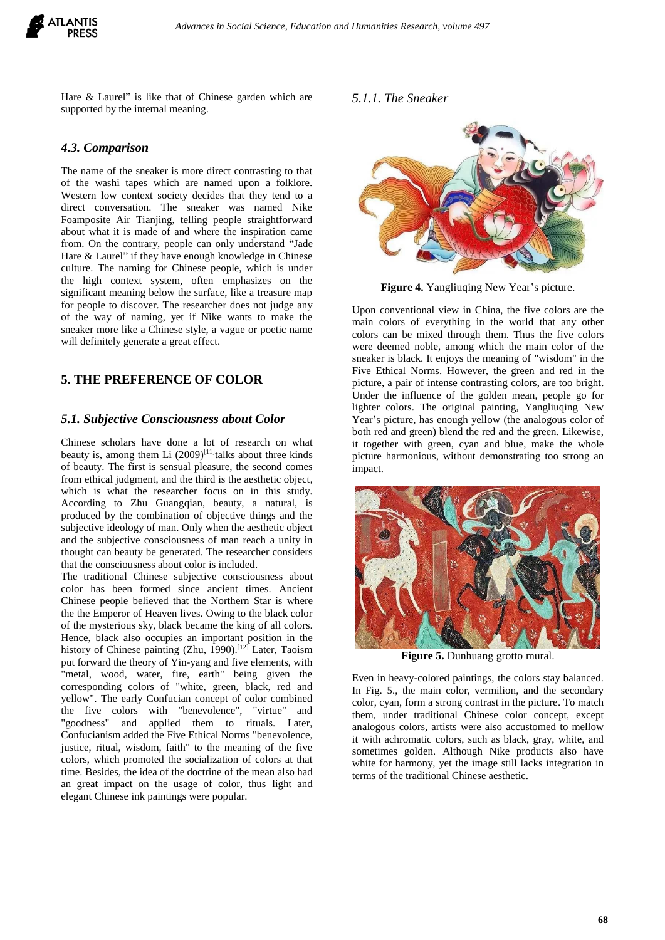

Hare & Laurel" is like that of Chinese garden which are supported by the internal meaning.

#### *4.3. Comparison*

The name of the sneaker is more direct contrasting to that of the washi tapes which are named upon a folklore. Western low context society decides that they tend to a direct conversation. The sneaker was named Nike Foamposite Air Tianjing, telling people straightforward about what it is made of and where the inspiration came from. On the contrary, people can only understand "Jade Hare & Laurel" if they have enough knowledge in Chinese culture. The naming for Chinese people, which is under the high context system, often emphasizes on the significant meaning below the surface, like a treasure map for people to discover. The researcher does not judge any of the way of naming, yet if Nike wants to make the sneaker more like a Chinese style, a vague or poetic name will definitely generate a great effect.

## **5. THE PREFERENCE OF COLOR**

#### *5.1. Subjective Consciousness about Color*

Chinese scholars have done a lot of research on what beauty is, among them Li  $(2009)^{[11]}$ talks about three kinds of beauty. The first is sensual pleasure, the second comes from ethical judgment, and the third is the aesthetic object, which is what the researcher focus on in this study. According to Zhu Guangqian, beauty, a natural, is produced by the combination of objective things and the subjective ideology of man. Only when the aesthetic object and the subjective consciousness of man reach a unity in thought can beauty be generated. The researcher considers that the consciousness about color is included.

The traditional Chinese subjective consciousness about color has been formed since ancient times. Ancient Chinese people believed that the Northern Star is where the the Emperor of Heaven lives. Owing to the black color of the mysterious sky, black became the king of all colors. Hence, black also occupies an important position in the history of Chinese painting (Zhu, 1990).<sup>[12]</sup> Later, Taoism put forward the theory of Yin-yang and five elements, with "metal, wood, water, fire, earth" being given the corresponding colors of "white, green, black, red and yellow". The early Confucian concept of color combined the five colors with "benevolence", "virtue" and "goodness" and applied them to rituals. Later, Confucianism added the Five Ethical Norms "benevolence, justice, ritual, wisdom, faith" to the meaning of the five colors, which promoted the socialization of colors at that time. Besides, the idea of the doctrine of the mean also had an great impact on the usage of color, thus light and elegant Chinese ink paintings were popular.

*5.1.1. The Sneaker*



**Figure 4.** Yangliuqing New Year's picture.

Upon conventional view in China, the five colors are the main colors of everything in the world that any other colors can be mixed through them. Thus the five colors were deemed noble, among which the main color of the sneaker is black. It enjoys the meaning of "wisdom" in the Five Ethical Norms. However, the green and red in the picture, a pair of intense contrasting colors, are too bright. Under the influence of the golden mean, people go for lighter colors. The original painting, Yangliuqing New Year's picture, has enough yellow (the analogous color of both red and green) blend the red and the green. Likewise, it together with green, cyan and blue, make the whole picture harmonious, without demonstrating too strong an impact.



**Figure 5.** [Dunhuang](file:///C:/Users/Administrator/AppData/Local/youdao/dict/Application/8.9.3.0/resultui/html/index.html#/javascript:;) [grotto](file:///C:/Users/Administrator/AppData/Local/youdao/dict/Application/8.9.3.0/resultui/html/index.html#/javascript:;) mural.

Even in heavy-colored paintings, the colors stay balanced. In Fig. 5., the main color, vermilion, and the secondary color, cyan, form a strong contrast in the picture. To match them, under traditional Chinese color concept, except analogous colors, artists were also accustomed to mellow it with achromatic colors, such as black, gray, white, and sometimes golden. Although Nike products also have white for harmony, yet the image still lacks integration in terms of the traditional Chinese aesthetic.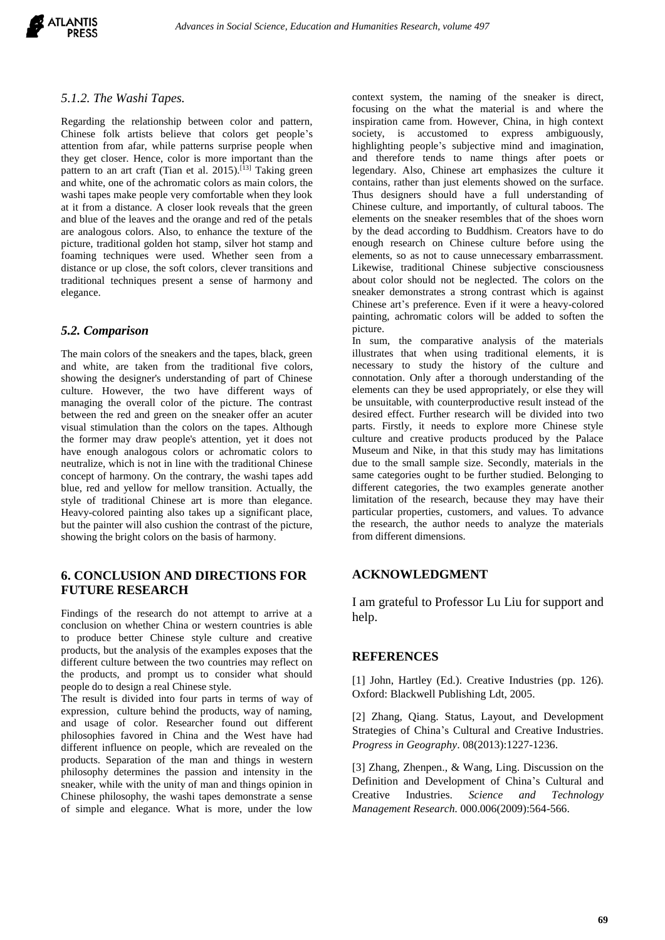

#### *5.1.2. The Washi Tapes.*

Regarding the relationship between color and pattern, Chinese folk artists believe that colors get people's attention from afar, while patterns surprise people when they get closer. Hence, color is more important than the pattern to an art craft (Tian et al. 2015).<sup>[13]</sup> Taking green and white, one of the achromatic colors as main colors, the washi tapes make people very comfortable when they look at it from a distance. A closer look reveals that the green and blue of the leaves and the orange and red of the petals are analogous colors. Also, to enhance the texture of the picture, traditional golden hot stamp, silver hot stamp and foaming techniques were used. Whether seen from a distance or up close, the soft colors, clever transitions and traditional techniques present a sense of harmony and elegance.

## *5.2. Comparison*

The main colors of the sneakers and the tapes, black, green and white, are taken from the traditional five colors, showing the designer's understanding of part of Chinese culture. However, the two have different ways of managing the overall color of the picture. The contrast between the red and green on the sneaker offer an acuter visual stimulation than the colors on the tapes. Although the former may draw people's attention, yet it does not have enough analogous colors or achromatic colors to neutralize, which is not in line with the traditional Chinese concept of harmony. On the contrary, the washi tapes add blue, red and yellow for mellow transition. Actually, the style of traditional Chinese art is more than elegance. Heavy-colored painting also takes up a significant place, but the painter will also cushion the contrast of the picture, showing the bright colors on the basis of harmony.

# **6. CONCLUSION AND DIRECTIONS FOR FUTURE RESEARCH**

Findings of the research do not attempt to arrive at a conclusion on whether China or western countries is able to produce better Chinese style culture and creative products, but the analysis of the examples exposes that the different culture between the two countries may reflect on the products, and prompt us to consider what should people do to design a real Chinese style.

The result is divided into four parts in terms of way of expression, culture behind the products, way of naming, and usage of color. Researcher found out different philosophies favored in China and the West have had different influence on people, which are revealed on the products. Separation of the man and things in western philosophy determines the passion and intensity in the sneaker, while with the unity of man and things opinion in Chinese philosophy, the washi tapes demonstrate a sense of simple and elegance. What is more, under the low

context system, the naming of the sneaker is direct, focusing on the what the material is and where the inspiration came from. However, China, in high context society, is accustomed to express ambiguously, highlighting people's subjective mind and imagination, and therefore tends to name things after poets or legendary. Also, Chinese art emphasizes the culture it contains, rather than just elements showed on the surface. Thus designers should have a full understanding of Chinese culture, and importantly, of cultural taboos. The elements on the sneaker resembles that of the shoes worn by the dead according to Buddhism. Creators have to do enough research on Chinese culture before using the elements, so as not to cause unnecessary embarrassment. Likewise, traditional Chinese subjective consciousness about color should not be neglected. The colors on the sneaker demonstrates a strong contrast which is against Chinese art's preference. Even if it were a heavy-colored painting, achromatic colors will be added to soften the picture.

In sum, the comparative analysis of the materials illustrates that when using traditional elements, it is necessary to study the history of the culture and connotation. Only after a thorough understanding of the elements can they be used appropriately, or else they will be unsuitable, with counterproductive result instead of the desired effect. Further research will be divided into two parts. Firstly, it needs to explore more Chinese style culture and creative products produced by the Palace Museum and Nike, in that this study may has limitations due to the small sample size. Secondly, materials in the same categories ought to be further studied. Belonging to different categories, the two examples generate another limitation of the research, because they may have their particular properties, customers, and values. To advance the research, the author needs to analyze the materials from different dimensions.

## **ACKNOWLEDGMENT**

I am grateful to Professor Lu Liu for support and help.

## **REFERENCES**

[1] John, Hartley (Ed.). Creative Industries (pp. 126). Oxford: Blackwell Publishing Ldt, 2005.

[2] Zhang, Qiang. Status, Layout, and Development Strategies of China's Cultural and Creative Industries. *Progress in Geography*. 08(2013):1227-1236.

[3] Zhang, Zhenpen., & Wang, Ling. Discussion on the Definition and Development of China's Cultural and Creative Industries. *Science and Technology Management Research.* 000.006(2009):564-566.